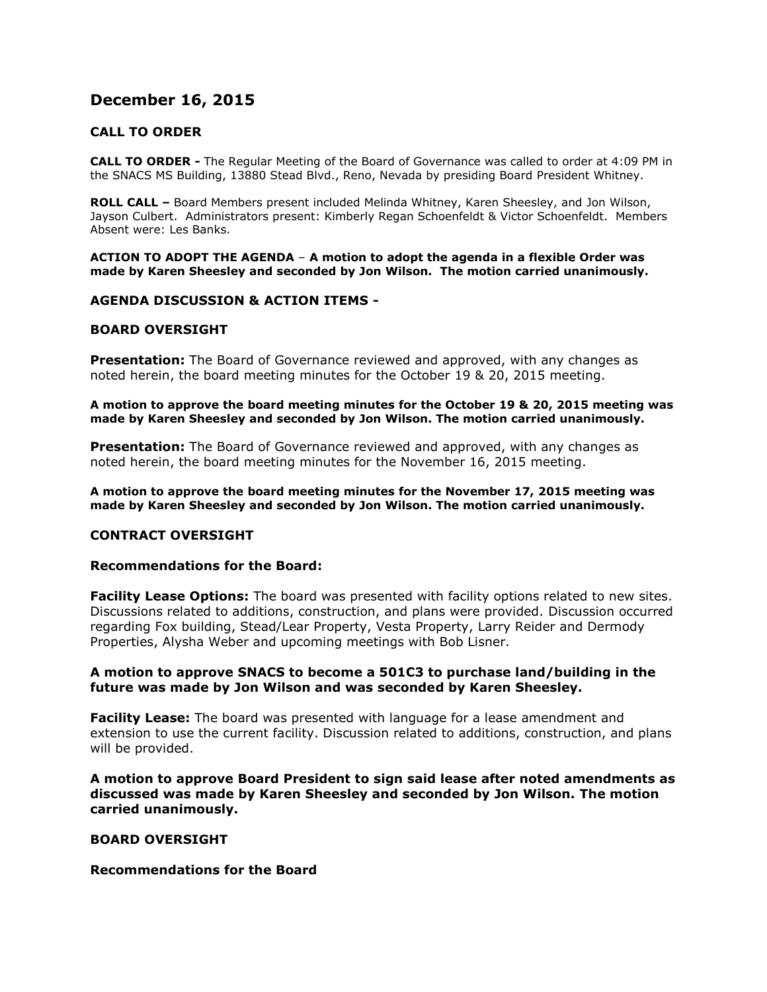# **December 16, 2015**

# **CALL TO ORDER**

**CALL TO ORDER -** The Regular Meeting of the Board of Governance was called to order at 4:09 PM in the SNACS MS Building, 13880 Stead Blvd., Reno, Nevada by presiding Board President Whitney.

**ROLL CALL –** Board Members present included Melinda Whitney, Karen Sheesley, and Jon Wilson, Jayson Culbert. Administrators present: Kimberly Regan Schoenfeldt & Victor Schoenfeldt. Members Absent were: Les Banks.

**ACTION TO ADOPT THE AGENDA** – **A motion to adopt the agenda in a flexible Order was made by Karen Sheesley and seconded by Jon Wilson. The motion carried unanimously.** 

#### **AGENDA DISCUSSION & ACTION ITEMS -**

# **BOARD OVERSIGHT**

**Presentation:** The Board of Governance reviewed and approved, with any changes as noted herein, the board meeting minutes for the October 19 & 20, 2015 meeting.

**A motion to approve the board meeting minutes for the October 19 & 20, 2015 meeting was made by Karen Sheesley and seconded by Jon Wilson. The motion carried unanimously.**

**Presentation:** The Board of Governance reviewed and approved, with any changes as noted herein, the board meeting minutes for the November 16, 2015 meeting.

**A motion to approve the board meeting minutes for the November 17, 2015 meeting was made by Karen Sheesley and seconded by Jon Wilson. The motion carried unanimously.**

#### **CONTRACT OVERSIGHT**

#### **Recommendations for the Board:**

**Facility Lease Options:** The board was presented with facility options related to new sites. Discussions related to additions, construction, and plans were provided. Discussion occurred regarding Fox building, Stead/Lear Property, Vesta Property, Larry Reider and Dermody Properties, Alysha Weber and upcoming meetings with Bob Lisner.

# **A motion to approve SNACS to become a 501C3 to purchase land/building in the future was made by Jon Wilson and was seconded by Karen Sheesley.**

**Facility Lease:** The board was presented with language for a lease amendment and extension to use the current facility. Discussion related to additions, construction, and plans will be provided.

**A motion to approve Board President to sign said lease after noted amendments as discussed was made by Karen Sheesley and seconded by Jon Wilson. The motion carried unanimously.**

# **BOARD OVERSIGHT**

#### **Recommendations for the Board**